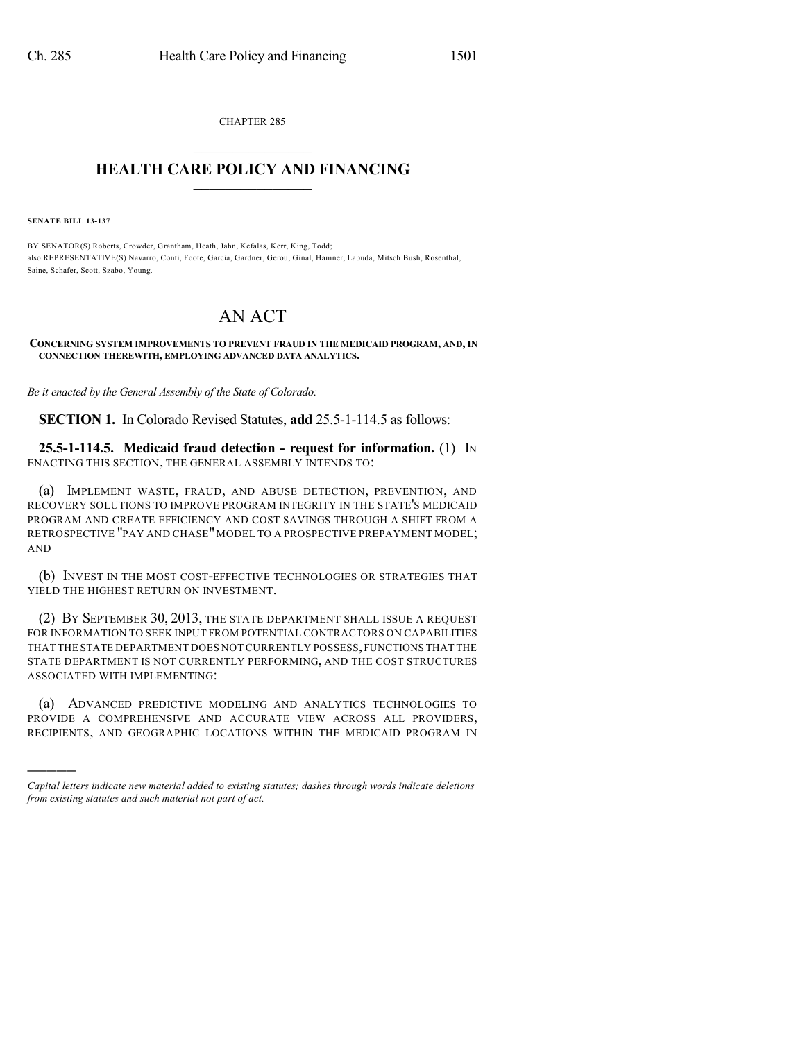CHAPTER 285  $\overline{\phantom{a}}$  . The set of the set of the set of the set of the set of the set of the set of the set of the set of the set of the set of the set of the set of the set of the set of the set of the set of the set of the set o

## **HEALTH CARE POLICY AND FINANCING**  $\_$   $\_$   $\_$   $\_$   $\_$   $\_$   $\_$   $\_$

**SENATE BILL 13-137**

)))))

BY SENATOR(S) Roberts, Crowder, Grantham, Heath, Jahn, Kefalas, Kerr, King, Todd; also REPRESENTATIVE(S) Navarro, Conti, Foote, Garcia, Gardner, Gerou, Ginal, Hamner, Labuda, Mitsch Bush, Rosenthal, Saine, Schafer, Scott, Szabo, Young.

## AN ACT

## **CONCERNING SYSTEM IMPROVEMENTS TO PREVENT FRAUD IN THE MEDICAID PROGRAM, AND, IN CONNECTION THEREWITH, EMPLOYING ADVANCED DATA ANALYTICS.**

*Be it enacted by the General Assembly of the State of Colorado:*

**SECTION 1.** In Colorado Revised Statutes, **add** 25.5-1-114.5 as follows:

**25.5-1-114.5. Medicaid fraud detection - request for information.** (1) IN ENACTING THIS SECTION, THE GENERAL ASSEMBLY INTENDS TO:

(a) IMPLEMENT WASTE, FRAUD, AND ABUSE DETECTION, PREVENTION, AND RECOVERY SOLUTIONS TO IMPROVE PROGRAM INTEGRITY IN THE STATE'S MEDICAID PROGRAM AND CREATE EFFICIENCY AND COST SAVINGS THROUGH A SHIFT FROM A RETROSPECTIVE "PAY AND CHASE" MODEL TO A PROSPECTIVE PREPAYMENT MODEL; AND

(b) INVEST IN THE MOST COST-EFFECTIVE TECHNOLOGIES OR STRATEGIES THAT YIELD THE HIGHEST RETURN ON INVESTMENT.

(2) BY SEPTEMBER 30, 2013, THE STATE DEPARTMENT SHALL ISSUE A REQUEST FOR INFORMATION TO SEEK INPUT FROM POTENTIAL CONTRACTORS ON CAPABILITIES THAT THE STATE DEPARTMENT DOES NOT CURRENTLY POSSESS,FUNCTIONS THAT THE STATE DEPARTMENT IS NOT CURRENTLY PERFORMING, AND THE COST STRUCTURES ASSOCIATED WITH IMPLEMENTING:

(a) ADVANCED PREDICTIVE MODELING AND ANALYTICS TECHNOLOGIES TO PROVIDE A COMPREHENSIVE AND ACCURATE VIEW ACROSS ALL PROVIDERS, RECIPIENTS, AND GEOGRAPHIC LOCATIONS WITHIN THE MEDICAID PROGRAM IN

*Capital letters indicate new material added to existing statutes; dashes through words indicate deletions from existing statutes and such material not part of act.*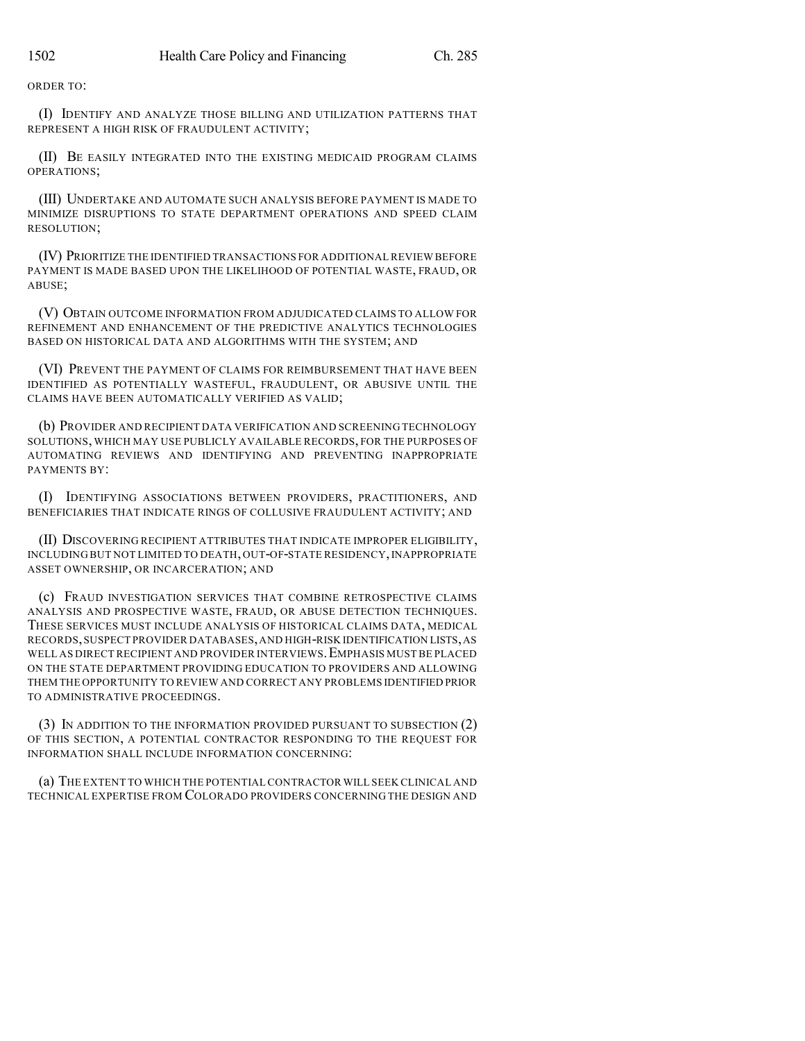ORDER TO:

(I) IDENTIFY AND ANALYZE THOSE BILLING AND UTILIZATION PATTERNS THAT REPRESENT A HIGH RISK OF FRAUDULENT ACTIVITY;

(II) BE EASILY INTEGRATED INTO THE EXISTING MEDICAID PROGRAM CLAIMS OPERATIONS;

(III) UNDERTAKE AND AUTOMATE SUCH ANALYSIS BEFORE PAYMENT IS MADE TO MINIMIZE DISRUPTIONS TO STATE DEPARTMENT OPERATIONS AND SPEED CLAIM RESOLUTION;

(IV) PRIORITIZE THE IDENTIFIED TRANSACTIONS FOR ADDITIONALREVIEW BEFORE PAYMENT IS MADE BASED UPON THE LIKELIHOOD OF POTENTIAL WASTE, FRAUD, OR ABUSE;

(V) OBTAIN OUTCOME INFORMATION FROM ADJUDICATED CLAIMS TO ALLOW FOR REFINEMENT AND ENHANCEMENT OF THE PREDICTIVE ANALYTICS TECHNOLOGIES BASED ON HISTORICAL DATA AND ALGORITHMS WITH THE SYSTEM; AND

(VI) PREVENT THE PAYMENT OF CLAIMS FOR REIMBURSEMENT THAT HAVE BEEN IDENTIFIED AS POTENTIALLY WASTEFUL, FRAUDULENT, OR ABUSIVE UNTIL THE CLAIMS HAVE BEEN AUTOMATICALLY VERIFIED AS VALID;

(b) PROVIDER AND RECIPIENT DATA VERIFICATION AND SCREENING TECHNOLOGY SOLUTIONS, WHICH MAY USE PUBLICLY AVAILABLE RECORDS, FOR THE PURPOSES OF AUTOMATING REVIEWS AND IDENTIFYING AND PREVENTING INAPPROPRIATE PAYMENTS BY:

(I) IDENTIFYING ASSOCIATIONS BETWEEN PROVIDERS, PRACTITIONERS, AND BENEFICIARIES THAT INDICATE RINGS OF COLLUSIVE FRAUDULENT ACTIVITY; AND

(II) DISCOVERING RECIPIENT ATTRIBUTES THAT INDICATE IMPROPER ELIGIBILITY, INCLUDING BUT NOT LIMITED TO DEATH, OUT-OF-STATE RESIDENCY,INAPPROPRIATE ASSET OWNERSHIP, OR INCARCERATION; AND

(c) FRAUD INVESTIGATION SERVICES THAT COMBINE RETROSPECTIVE CLAIMS ANALYSIS AND PROSPECTIVE WASTE, FRAUD, OR ABUSE DETECTION TECHNIQUES. THESE SERVICES MUST INCLUDE ANALYSIS OF HISTORICAL CLAIMS DATA, MEDICAL RECORDS,SUSPECT PROVIDER DATABASES,AND HIGH-RISK IDENTIFICATION LISTS,AS WELL AS DIRECT RECIPIENT AND PROVIDER INTERVIEWS.EMPHASIS MUST BE PLACED ON THE STATE DEPARTMENT PROVIDING EDUCATION TO PROVIDERS AND ALLOWING THEM THE OPPORTUNITY TO REVIEW AND CORRECT ANY PROBLEMS IDENTIFIED PRIOR TO ADMINISTRATIVE PROCEEDINGS.

(3) IN ADDITION TO THE INFORMATION PROVIDED PURSUANT TO SUBSECTION (2) OF THIS SECTION, A POTENTIAL CONTRACTOR RESPONDING TO THE REQUEST FOR INFORMATION SHALL INCLUDE INFORMATION CONCERNING:

(a) THE EXTENT TO WHICH THE POTENTIAL CONTRACTOR WILL SEEK CLINICAL AND TECHNICAL EXPERTISE FROM COLORADO PROVIDERS CONCERNING THE DESIGN AND